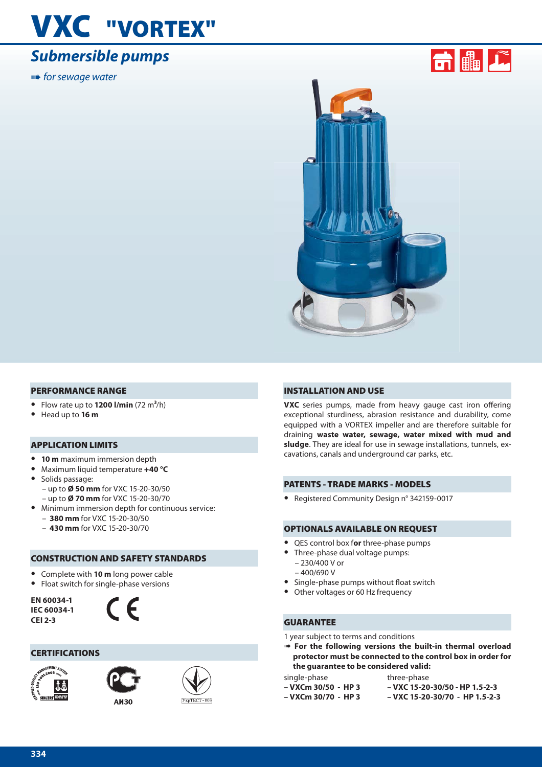## **VXC "VORTEX"**

## *Submersible pumps*

**IIIIIII•** for sewage water



#### **PERFORMANCE RANGE**

- **•** Flow rate up to **1200 l/min** (72 m**3**/h)
- **•** Head up to **16 m**

#### **APPLICATION LIMITS**

- **• 10 m** maximum immersion depth
- **•** Maximum liquid temperature **+40 °C**
- **•** Solids passage: – up to **Ø 50 mm** for VXC 15-20-30/50 – up to **Ø 70 mm** for VXC 15-20-30/70
- **•** Minimum immersion depth for continuous service:
	- **380 mm** for VXC 15-20-30/50
	- **430 mm** for VXC 15-20-30/70

#### **CONSTRUCTION AND SAFETY STANDARDS**

- **•** Complete with **10 m** long power cable
- **•** Float switch for single-phase versions

**EN 60034-1 IEC 60034-1 CEI 2-3**



#### **CERTIFICATIONS**





**AM30** 



#### **INSTALLATION AND USE**

**VXC** series pumps, made from heavy gauge cast iron offering exceptional sturdiness, abrasion resistance and durability, come equipped with a VORTEX impeller and are therefore suitable for draining **waste water, sewage, water mixed with mud and sludge**. They are ideal for use in sewage installations, tunnels, excavations, canals and underground car parks, etc.

#### **PATENTS - TRADE MARKS - MODELS**

**•** Registered Community Design n° 342159-0017

#### **OPTIONALS AVAILABLE ON REQUEST**

- **•** QES control box f**or** three-phase pumps
- **•** Three-phase dual voltage pumps:
	- 230/400 V or
	- $-400/690V$
- Single-phase pumps without float switch<br>• Other voltages or 60 Hz frequency
- **•** Other voltages or 60 Hz frequency

#### **GUARANTEE**

1 year subject to terms and conditions

➠ **For the following versions the built-in thermal overload protector must be connected to the control box in order for the guarantee to be considered valid:**

single-phase **– VXCm 30/50 - HP 3**

- three-phase **– VXC 15-20-30/50 - HP 1.5-2-3**
- **VXCm 30/70 HP 3**
- **VXC 15-20-30/70 HP 1.5-2-3**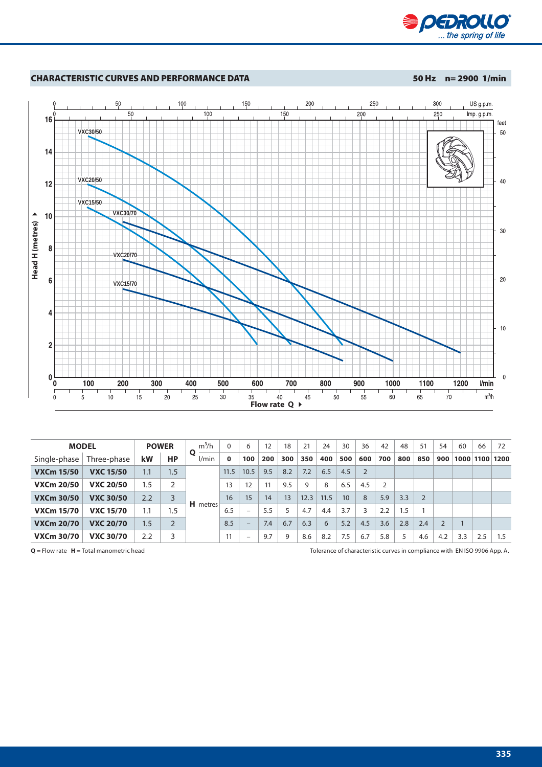



| <b>MODEL</b>      |                  | <b>POWER</b> |           | $m^3/h$              |      | 6                        | 12  | 18  | 21   | 24   | 30              | 36             | 42  | 48  | 51             | 54             | 60   | 66   | 72   |
|-------------------|------------------|--------------|-----------|----------------------|------|--------------------------|-----|-----|------|------|-----------------|----------------|-----|-----|----------------|----------------|------|------|------|
| Single-phase      | Three-phase      | kW           | <b>HP</b> | $\mathbf o$<br>l/min | 0    | 100                      | 200 | 300 | 350  | 400  | 500             | 600            | 700 | 800 | 850            | 900            | 1000 | 1100 | 1200 |
| <b>VXCm 15/50</b> | <b>VXC 15/50</b> | 1.1          | 1.5       | <b>H</b> metres      | 11.5 | 10.5                     | 9.5 | 8.2 | 7.2  | 6.5  | 4.5             | $\overline{2}$ |     |     |                |                |      |      |      |
| <b>VXCm 20/50</b> | <b>VXC 20/50</b> | 1.5          | 2         |                      | 13   | 12                       | 11  | 9.5 | 9    | 8    | 6.5             | 4.5            | 2   |     |                |                |      |      |      |
| <b>VXCm 30/50</b> | <b>VXC 30/50</b> | 2.2          | 3         |                      | 16   | 15                       | 14  | 13  | 12.3 | 11.5 | 10 <sup>°</sup> | 8              | 5.9 | 3.3 | $\overline{2}$ |                |      |      |      |
| <b>VXCm 15/70</b> | <b>VXC 15/70</b> | 1.1          | 1.5       |                      | 6.5  | $\overline{\phantom{0}}$ | 5.5 | 5   | 4.7  | 4.4  | 3.7             | 3              | 2.2 | 1.5 |                |                |      |      |      |
| <b>VXCm 20/70</b> | <b>VXC 20/70</b> | 1.5          |           |                      | 8.5  | $-$                      | 7.4 | 6.7 | 6.3  | 6    | 5.2             | 4.5            | 3.6 | 2.8 | 2.4            | $\overline{2}$ |      |      |      |
| <b>VXCm 30/70</b> | <b>VXC 30/70</b> | 2.2          | 3         |                      | 11   | -                        | 9.7 | 9   | 8.6  | 8.2  | 7.5             | 6.7            | 5.8 | 5   | 4.6            | 4.2            | 3.3  | 2.5  | 1.5  |

**Q** = Flow rate **H** = Total manometric head **Tolerance of characteristic curves** in compliance with EN ISO 9906 App. A.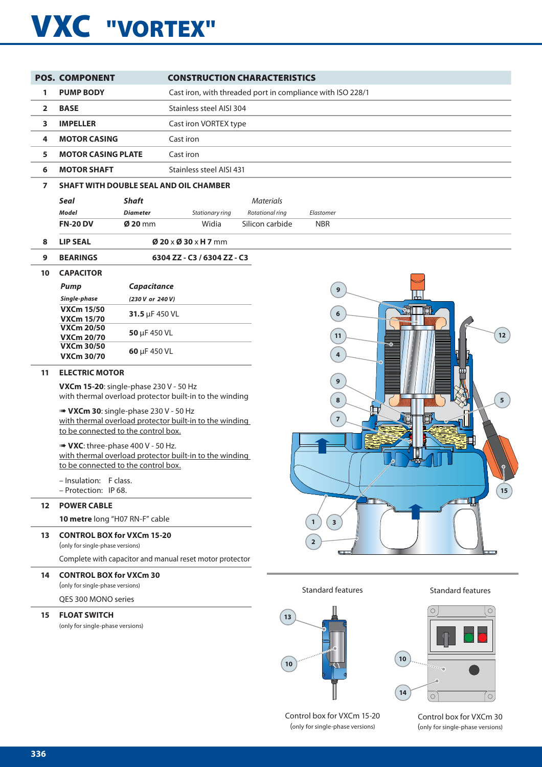# **VXC "VORTEX"**

|                | <b>POS. COMPONENT</b>                                                                                    | <b>CONSTRUCTION CHARACTERISTICS</b>      |                                                            |                          |
|----------------|----------------------------------------------------------------------------------------------------------|------------------------------------------|------------------------------------------------------------|--------------------------|
| 1              | <b>PUMP BODY</b>                                                                                         |                                          | Cast iron, with threaded port in compliance with ISO 228/1 |                          |
| $\overline{2}$ | <b>BASE</b>                                                                                              | Stainless steel AISI 304                 |                                                            |                          |
|                |                                                                                                          |                                          |                                                            |                          |
| 3              | <b>IMPELLER</b>                                                                                          | Cast iron VORTEX type                    |                                                            |                          |
| 4              | <b>MOTOR CASING</b>                                                                                      | Cast iron                                |                                                            |                          |
| 5              | <b>MOTOR CASING PLATE</b>                                                                                | Cast iron                                |                                                            |                          |
| 6              | <b>MOTOR SHAFT</b>                                                                                       | Stainless steel AISI 431                 |                                                            |                          |
| $\overline{ }$ | <b>SHAFT WITH DOUBLE SEAL AND OIL CHAMBER</b>                                                            |                                          |                                                            |                          |
|                | <b>Seal</b><br><b>Shaft</b>                                                                              |                                          | <b>Materials</b>                                           |                          |
|                | <b>Model</b><br><b>Diameter</b>                                                                          | Stationary ring                          | Rotational ring<br>Elastomer                               |                          |
|                | <b>FN-20 DV</b><br>$\boldsymbol{\emptyset}$ 20 mm                                                        | Widia                                    | Silicon carbide<br><b>NBR</b>                              |                          |
| 8              | <b>LIP SEAL</b>                                                                                          | $\emptyset$ 20 x $\emptyset$ 30 x H 7 mm |                                                            |                          |
| 9              | <b>BEARINGS</b>                                                                                          | 6304 ZZ - C3 / 6304 ZZ - C3              |                                                            |                          |
| 10             | <b>CAPACITOR</b>                                                                                         |                                          |                                                            |                          |
|                | Capacitance<br><b>Pump</b>                                                                               |                                          | $\mathbf{9}$                                               |                          |
|                | Single-phase<br>(230 V or 240 V)<br><b>VXCm 15/50</b>                                                    |                                          |                                                            |                          |
|                | 31.5 µF 450 VL<br><b>VXCm 15/70</b>                                                                      |                                          | 6                                                          |                          |
|                | <b>VXCm 20/50</b><br>50 µF 450 VL<br><b>VXCm 20/70</b>                                                   |                                          | 11                                                         | 12                       |
|                | <b>VXCm 30/50</b><br>60 µF 450 VL                                                                        |                                          |                                                            |                          |
|                | <b>VXCm 30/70</b>                                                                                        |                                          | $\overline{4}$                                             |                          |
| 11             | <b>ELECTRIC MOTOR</b>                                                                                    |                                          | $\boldsymbol{9}$                                           |                          |
|                | <b>VXCm 15-20:</b> single-phase 230 V - 50 Hz<br>with thermal overload protector built-in to the winding |                                          |                                                            |                          |
|                |                                                                                                          |                                          | 8                                                          | 5 <sup>1</sup>           |
|                | WINDOW VXCm 30: single-phase 230 V - 50 Hz<br>with thermal overload protector built-in to the winding    |                                          | $\overline{7}$                                             |                          |
|                | to be connected to the control box.                                                                      |                                          |                                                            |                          |
|                | <b>■ VXC</b> : three-phase 400 V - 50 Hz.                                                                |                                          |                                                            |                          |
|                | with thermal overload protector built-in to the winding<br>to be connected to the control box.           |                                          |                                                            |                          |
|                | - Insulation: F class.                                                                                   |                                          |                                                            |                          |
|                | - Protection: IP 68.                                                                                     |                                          |                                                            | 15                       |
| $12 \,$        | <b>POWER CABLE</b>                                                                                       |                                          |                                                            |                          |
|                | 10 metre long "H07 RN-F" cable                                                                           |                                          | $\mathbf{3}$<br>$\mathbf{1}$                               |                          |
| 13             | <b>CONTROL BOX for VXCm 15-20</b>                                                                        |                                          | $\overline{2}$                                             |                          |
|                | (only for single-phase versions)                                                                         |                                          |                                                            |                          |
|                | Complete with capacitor and manual reset motor protector                                                 |                                          |                                                            |                          |
| 14             | <b>CONTROL BOX for VXCm 30</b><br>(only for single-phase versions)                                       |                                          |                                                            |                          |
|                |                                                                                                          |                                          | <b>Standard features</b>                                   | <b>Standard features</b> |
|                | QES 300 MONO series                                                                                      |                                          |                                                            | O<br>$\circ$             |
| 15             | <b>FLOAT SWITCH</b><br>(only for single-phase versions)                                                  |                                          | 13                                                         |                          |
|                |                                                                                                          |                                          |                                                            |                          |
|                |                                                                                                          |                                          |                                                            |                          |
|                |                                                                                                          |                                          | $10$                                                       | $10$<br>$\sim$ $\sim$    |

Control box for VXCm 15-20 (only for single-phase versions)

Control box for VXCm 30 (only for single-phase versions)

 $\boxed{\circ}$ 

in 1 J.  $\boxed{\circ}$ 

**14**